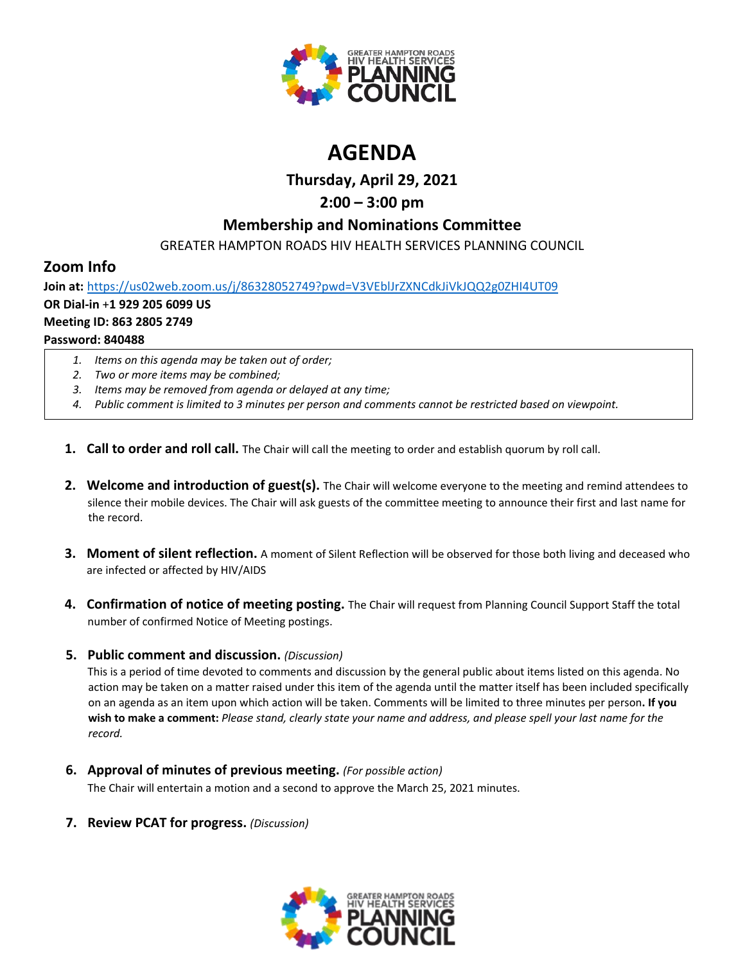

# **AGENDA**

# **Thursday, April 29, 2021**

# **2:00 – 3:00 pm**

## **Membership and Nominations Committee**

GREATER HAMPTON ROADS HIV HEALTH SERVICES PLANNING COUNCIL

# **Zoom Info**

**Join at:** <https://us02web.zoom.us/j/86328052749?pwd=V3VEblJrZXNCdkJiVkJQQ2g0ZHI4UT09> **OR Dial-in** +**1 929 205 6099 US Meeting ID: 863 2805 2749 Password: 840488**

- *1. Items on this agenda may be taken out of order;*
- *2. Two or more items may be combined;*
- *3. Items may be removed from agenda or delayed at any time;*
- *4. Public comment is limited to 3 minutes per person and comments cannot be restricted based on viewpoint.*
- **1. Call to order and roll call.** The Chair will call the meeting to order and establish quorum by roll call.
- **2. Welcome and introduction of guest(s).** The Chair will welcome everyone to the meeting and remind attendees to silence their mobile devices. The Chair will ask guests of the committee meeting to announce their first and last name for the record.
- **3. Moment of silent reflection.** A moment of Silent Reflection will be observed for those both living and deceased who are infected or affected by HIV/AIDS
- **4. Confirmation of notice of meeting posting.** The Chair will request from Planning Council Support Staff the total number of confirmed Notice of Meeting postings.

## **5. Public comment and discussion.** *(Discussion)*

This is a period of time devoted to comments and discussion by the general public about items listed on this agenda. No action may be taken on a matter raised under this item of the agenda until the matter itself has been included specifically on an agenda as an item upon which action will be taken. Comments will be limited to three minutes per person**. If you wish to make a comment:** *Please stand, clearly state your name and address, and please spell your last name for the record.*

**6. Approval of minutes of previous meeting.** *(For possible action)*

The Chair will entertain a motion and a second to approve the March 25, 2021 minutes.

**7. Review PCAT for progress.** *(Discussion)*